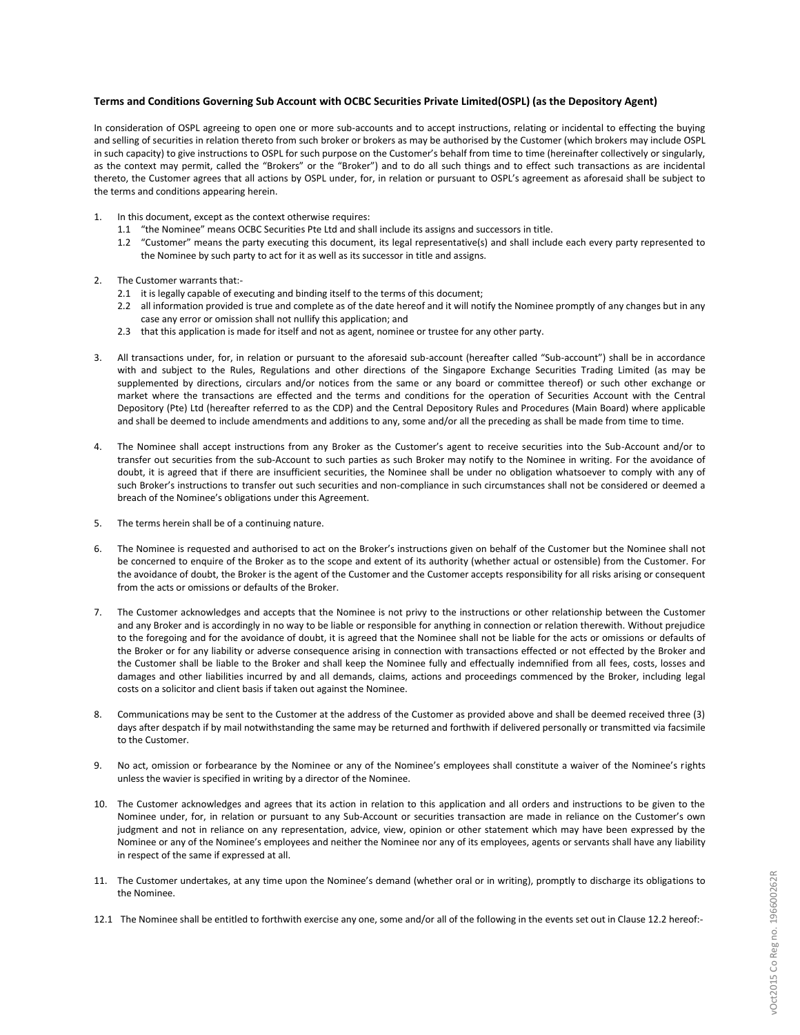## **Terms and Conditions Governing Sub Account with OCBC Securities Private Limited(OSPL) (as the Depository Agent)**

In consideration of OSPL agreeing to open one or more sub-accounts and to accept instructions, relating or incidental to effecting the buying and selling of securities in relation thereto from such broker or brokers as may be authorised by the Customer (which brokers may include OSPL in such capacity) to give instructions to OSPL for such purpose on the Customer's behalf from time to time (hereinafter collectively or singularly, as the context may permit, called the "Brokers" or the "Broker") and to do all such things and to effect such transactions as are incidental thereto, the Customer agrees that all actions by OSPL under, for, in relation or pursuant to OSPL's agreement as aforesaid shall be subject to the terms and conditions appearing herein.

- In this document, except as the context otherwise requires:
	- 1.1 "the Nominee" means OCBC Securities Pte Ltd and shall include its assigns and successors in title.
	- 1.2 "Customer" means the party executing this document, its legal representative(s) and shall include each every party represented to the Nominee by such party to act for it as well as its successor in title and assigns.
- 2. The Customer warrants that:-
	- 2.1 it is legally capable of executing and binding itself to the terms of this document;
	- 2.2 all information provided is true and complete as of the date hereof and it will notify the Nominee promptly of any changes but in any case any error or omission shall not nullify this application; and
	- 2.3 that this application is made for itself and not as agent, nominee or trustee for any other party.
- 3. All transactions under, for, in relation or pursuant to the aforesaid sub-account (hereafter called "Sub-account") shall be in accordance with and subject to the Rules, Regulations and other directions of the Singapore Exchange Securities Trading Limited (as may be supplemented by directions, circulars and/or notices from the same or any board or committee thereof) or such other exchange or market where the transactions are effected and the terms and conditions for the operation of Securities Account with the Central Depository (Pte) Ltd (hereafter referred to as the CDP) and the Central Depository Rules and Procedures (Main Board) where applicable and shall be deemed to include amendments and additions to any, some and/or all the preceding as shall be made from time to time.
- 4. The Nominee shall accept instructions from any Broker as the Customer's agent to receive securities into the Sub-Account and/or to transfer out securities from the sub-Account to such parties as such Broker may notify to the Nominee in writing. For the avoidance of doubt, it is agreed that if there are insufficient securities, the Nominee shall be under no obligation whatsoever to comply with any of such Broker's instructions to transfer out such securities and non-compliance in such circumstances shall not be considered or deemed a breach of the Nominee's obligations under this Agreement.
- 5. The terms herein shall be of a continuing nature.
- 6. The Nominee is requested and authorised to act on the Broker's instructions given on behalf of the Customer but the Nominee shall not be concerned to enquire of the Broker as to the scope and extent of its authority (whether actual or ostensible) from the Customer. For the avoidance of doubt, the Broker is the agent of the Customer and the Customer accepts responsibility for all risks arising or consequent from the acts or omissions or defaults of the Broker.
- 7. The Customer acknowledges and accepts that the Nominee is not privy to the instructions or other relationship between the Customer and any Broker and is accordingly in no way to be liable or responsible for anything in connection or relation therewith. Without prejudice to the foregoing and for the avoidance of doubt, it is agreed that the Nominee shall not be liable for the acts or omissions or defaults of the Broker or for any liability or adverse consequence arising in connection with transactions effected or not effected by the Broker and the Customer shall be liable to the Broker and shall keep the Nominee fully and effectually indemnified from all fees, costs, losses and damages and other liabilities incurred by and all demands, claims, actions and proceedings commenced by the Broker, including legal costs on a solicitor and client basis if taken out against the Nominee.
- 8. Communications may be sent to the Customer at the address of the Customer as provided above and shall be deemed received three (3) days after despatch if by mail notwithstanding the same may be returned and forthwith if delivered personally or transmitted via facsimile to the Customer.
- 9. No act, omission or forbearance by the Nominee or any of the Nominee's employees shall constitute a waiver of the Nominee's rights unless the wavier is specified in writing by a director of the Nominee.
- 10. The Customer acknowledges and agrees that its action in relation to this application and all orders and instructions to be given to the Nominee under, for, in relation or pursuant to any Sub-Account or securities transaction are made in reliance on the Customer's own judgment and not in reliance on any representation, advice, view, opinion or other statement which may have been expressed by the Nominee or any of the Nominee's employees and neither the Nominee nor any of its employees, agents or servants shall have any liability in respect of the same if expressed at all.
- 11. The Customer undertakes, at any time upon the Nominee's demand (whether oral or in writing), promptly to discharge its obligations to the Nominee.
- 12.1 The Nominee shall be entitled to forthwith exercise any one, some and/or all of the following in the events set out in Clause 12.2 hereof:-